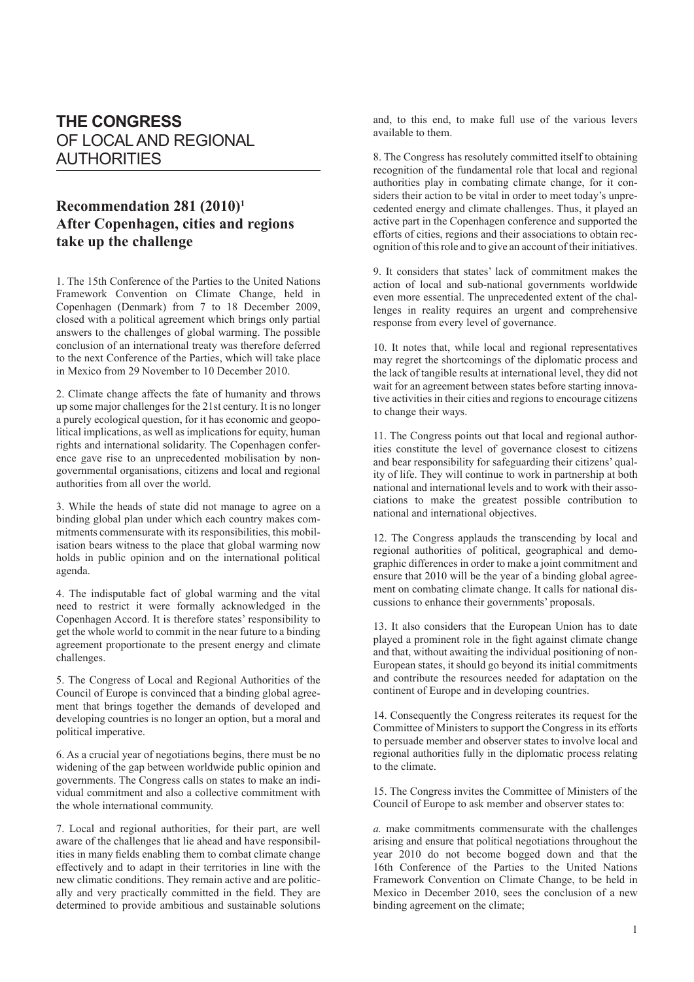## **THE CONGRESS** OF LOCAL AND REGIONAL AUTHORITIES

## **Recommendation 281 (2010)1 After Copenhagen, cities and regions take up the challenge**

1. The 15th Conference of the Parties to the United Nations Framework Convention on Climate Change, held in Copenhagen (Denmark) from 7 to 18 December 2009, closed with a political agreement which brings only partial answers to the challenges of global warming. The possible conclusion of an international treaty was therefore deferred to the next Conference of the Parties, which will take place in Mexico from 29 November to 10 December 2010.

2. Climate change affects the fate of humanity and throws up some major challenges for the 21st century. It is no longer a purely ecological question, for it has economic and geopolitical implications, as well as implications for equity, human rights and international solidarity. The Copenhagen conference gave rise to an unprecedented mobilisation by nongovernmental organisations, citizens and local and regional authorities from all over the world.

3. While the heads of state did not manage to agree on a binding global plan under which each country makes commitments commensurate with its responsibilities, this mobilisation bears witness to the place that global warming now holds in public opinion and on the international political agenda.

4. The indisputable fact of global warming and the vital need to restrict it were formally acknowledged in the Copenhagen Accord. It is therefore states' responsibility to get the whole world to commit in the near future to a binding agreement proportionate to the present energy and climate challenges.

5. The Congress of Local and Regional Authorities of the Council of Europe is convinced that a binding global agreement that brings together the demands of developed and developing countries is no longer an option, but a moral and political imperative.

6. As a crucial year of negotiations begins, there must be no widening of the gap between worldwide public opinion and governments. The Congress calls on states to make an individual commitment and also a collective commitment with the whole international community.

7. Local and regional authorities, for their part, are well aware of the challenges that lie ahead and have responsibilities in many fields enabling them to combat climate change effectively and to adapt in their territories in line with the new climatic conditions. They remain active and are politically and very practically committed in the field. They are determined to provide ambitious and sustainable solutions and, to this end, to make full use of the various levers available to them.

8. The Congress has resolutely committed itself to obtaining recognition of the fundamental role that local and regional authorities play in combating climate change, for it considers their action to be vital in order to meet today's unprecedented energy and climate challenges. Thus, it played an active part in the Copenhagen conference and supported the efforts of cities, regions and their associations to obtain recognition of this role and to give an account of their initiatives.

9. It considers that states' lack of commitment makes the action of local and sub-national governments worldwide even more essential. The unprecedented extent of the challenges in reality requires an urgent and comprehensive response from every level of governance.

10. It notes that, while local and regional representatives may regret the shortcomings of the diplomatic process and the lack of tangible results at international level, they did not wait for an agreement between states before starting innovative activities in their cities and regions to encourage citizens to change their ways.

11. The Congress points out that local and regional authorities constitute the level of governance closest to citizens and bear responsibility for safeguarding their citizens' quality of life. They will continue to work in partnership at both national and international levels and to work with their associations to make the greatest possible contribution to national and international objectives.

12. The Congress applauds the transcending by local and regional authorities of political, geographical and demographic differences in order to make a joint commitment and ensure that 2010 will be the year of a binding global agreement on combating climate change. It calls for national discussions to enhance their governments' proposals.

13. It also considers that the European Union has to date played a prominent role in the fight against climate change and that, without awaiting the individual positioning of non-European states, it should go beyond its initial commitments and contribute the resources needed for adaptation on the continent of Europe and in developing countries.

14. Consequently the Congress reiterates its request for the Committee of Ministers to support the Congress in its efforts to persuade member and observer states to involve local and regional authorities fully in the diplomatic process relating to the climate.

15. The Congress invites the Committee of Ministers of the Council of Europe to ask member and observer states to:

*a.* make commitments commensurate with the challenges arising and ensure that political negotiations throughout the year 2010 do not become bogged down and that the 16th Conference of the Parties to the United Nations Framework Convention on Climate Change, to be held in Mexico in December 2010, sees the conclusion of a new binding agreement on the climate;